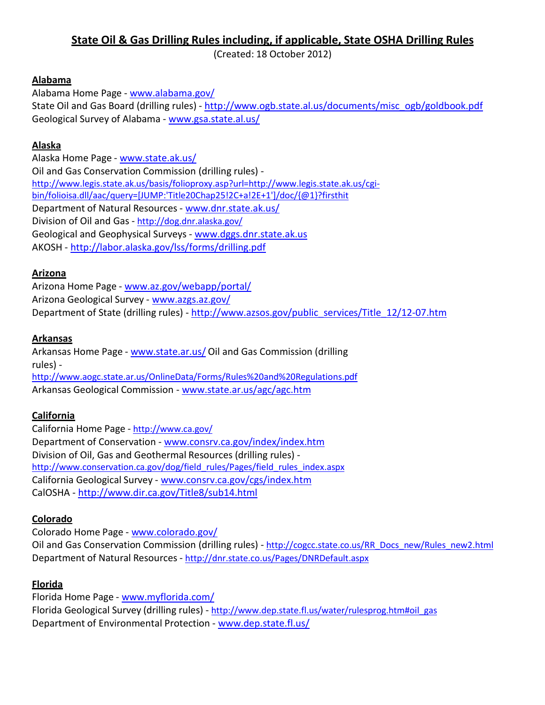# **State Oil & Gas Drilling Rules including, if applicable, State OSHA Drilling Rules**

(Created: 18 October 2012)

### **Alabama**

Alabama Home Page - [www.alabama.gov/](http://www.alabama.gov/) State Oil and Gas Board (drilling rules) - [http://www.ogb.state.al.us/documents/misc\\_ogb/goldbook.pdf](http://www.ogb.state.al.us/documents/misc_ogb/goldbook.pdf) Geological Survey of Alabama - [www.gsa.state.al.us/](http://www.gsa.state.al.us/)

### **Alaska**

Alaska Home Page - [www.state.ak.us/](http://www.state.ak.us/) Oil and Gas Conservation Commission (drilling rules) http://www.legis.state.ak.us/basis/folioproxy.asp?url[=http://www.legis.state.ak.us/cgi](http://www.legis.state.ak.us/cgi-)bin/folioisa.dll/aac/query=[JUMP:'Title20Chap25!2C+a!2E+1']/doc/{@1}?firsthit Department of Natural Resources - [www.dnr.state.ak.us/](http://www.dnr.state.ak.us/) Division of Oil and Gas - <http://dog.dnr.alaska.gov/> Geological and Geophysical Surveys - [www.dggs.dnr.state.ak.us](http://www.dggs.dnr.state.ak.us/) AKOSH - <http://labor.alaska.gov/lss/forms/drilling.pdf>

### **Arizona**

Arizona Home Page - [www.az.gov/webapp/portal/](http://www.az.gov/webapp/portal/) Arizona Geological Survey - [www.azgs.az.gov/](http://www.azgs.az.gov/) Department of State (drilling rules) - [http://www.azsos.gov/public\\_services/Title\\_12/12-07.htm](http://www.azsos.gov/public_services/Title_12/12-07.htm)

### **Arkansas**

Arkansas Home Page - [www.state.ar.us/](http://www.state.ar.us/) Oil and Gas Commission (drilling rules) <http://www.aogc.state.ar.us/OnlineData/Forms/Rules%20and%20Regulations.pdf> Arkansas Geological Commission - [www.state.ar.us/agc/agc.htm](http://www.state.ar.us/agc/agc.htm)

## **California**

California Home Page - <http://www.ca.gov/> Department of Conservation - [www.consrv.ca.gov/index/index.htm](http://www.consrv.ca.gov/index/index.htm) Division of Oil, Gas and Geothermal Resources (drilling rules) [http://www.conservation.ca.gov/dog/field\\_rules/Pages/field\\_rules\\_index.aspx](http://www.conservation.ca.gov/dog/field_rules/Pages/field_rules_index.aspx) California Geological Survey - [www.consrv.ca.gov/cgs/index.htm](http://www.consrv.ca.gov/cgs/index.htm) CalOSHA - <http://www.dir.ca.gov/Title8/sub14.html>

## **Colorado**

Colorado Home Page - [www.colorado.gov/](http://www.colorado.gov/) Oil and Gas Conservation Commission (drilling rules) - [http://cogcc.state.co.us/RR\\_Docs\\_new/Rules\\_new2.html](http://cogcc.state.co.us/RR_Docs_new/Rules_new2.html) Department of Natural Resources - <http://dnr.state.co.us/Pages/DNRDefault.aspx>

## **Florida**

Florida Home Page - [www.myflorida.com/](http://www.myflorida.com/) Florida Geological Survey (drilling rules) - [http://www.dep.state.fl.us/water/rulesprog.htm#oil\\_gas](http://www.dep.state.fl.us/water/rulesprog.htm#oil_gas) Department of Environmental Protection - [www.dep.state.fl.us/](http://www.dep.state.fl.us/)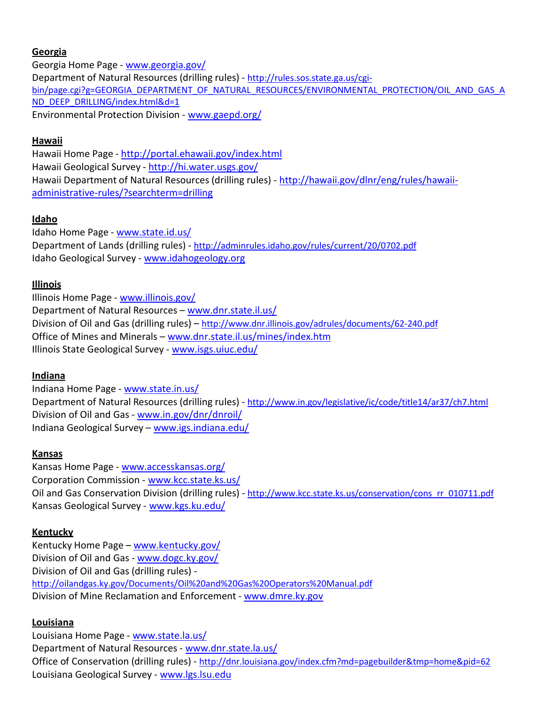### **Georgia**

Georgia Home Page - [www.georgia.gov/](http://www.georgia.gov/) Department of Natural Resources (drilling rules) - [http://rules.sos.state.ga.us/cgi](http://rules.sos.state.ga.us/cgi-)bin/page.cgi?g=GEORGIA\_DEPARTMENT\_OF\_NATURAL\_RESOURCES/ENVIRONMENTAL\_PROTECTION/OIL\_AND\_GAS\_A ND\_DEEP\_DRILLING/index.html&d=1 Environmental Protection Division - [www.gaepd.org/](http://www.gaepd.org/)

### **Hawaii**

Hawaii Home Page - <http://portal.ehawaii.gov/index.html> Hawaii Geological Survey - <http://hi.water.usgs.gov/> Hawaii Department of Natural Resources (drilling rules) - [http://hawaii.gov/dlnr/eng/rules/hawaii](http://hawaii.gov/dlnr/eng/rules/hawaii-administrative-rules/?searchterm=drilling)[administrative-rules/?searchterm=drilling](http://hawaii.gov/dlnr/eng/rules/hawaii-administrative-rules/?searchterm=drilling)

## **Idaho**

Idaho Home Page - [www.state.id.us/](http://www.state.id.us/) Department of Lands (drilling rules) - <http://adminrules.idaho.gov/rules/current/20/0702.pdf> Idaho Geological Survey - [www.idahogeology.org](http://www.idahogeology.org/)

## **Illinois**

Illinois Home Page - [www.illinois.gov/](http://www.illinois.gov/) Department of Natural Resources – [www.dnr.state.il.us/](http://www.dnr.state.il.us/) Division of Oil and Gas (drilling rules) – <http://www.dnr.illinois.gov/adrules/documents/62-240.pdf> Office of Mines and Minerals – [www.dnr.state.il.us/mines/index.htm](http://www.dnr.state.il.us/mines/index.htm) Illinois State Geological Survey - [www.isgs.uiuc.edu/](http://www.isgs.uiuc.edu/)

### **Indiana**

Indiana Home Page - [www.state.in.us/](http://www.state.in.us/) Department of Natural Resources (drilling rules) - <http://www.in.gov/legislative/ic/code/title14/ar37/ch7.html> Division of Oil and Gas - [www.in.gov/dnr/dnroil/](http://www.in.gov/dnr/dnroil/) Indiana Geological Survey – [www.igs.indiana.edu/](http://www.igs.indiana.edu/)

### **Kansas**

Kansas Home Page - [www.accesskansas.org/](http://www.accesskansas.org/) Corporation Commission - [www.kcc.state.ks.us/](http://www.kcc.state.ks.us/) Oil and Gas Conservation Division (drilling rules) - [http://www.kcc.state.ks.us/conservation/cons\\_rr\\_010711.pdf](http://www.kcc.state.ks.us/conservation/cons_rr_010711.pdf) Kansas Geological Survey - [www.kgs.ku.edu/](http://www.kgs.ku.edu/)

### **Kentucky**

Kentucky Home Page – [www.kentucky.gov/](http://www.kentucky.gov/) Division of Oil and Gas - [www.dogc.ky.gov/](http://www.dogc.ky.gov/) Division of Oil and Gas (drilling rules) <http://oilandgas.ky.gov/Documents/Oil%20and%20Gas%20Operators%20Manual.pdf> Division of Mine Reclamation and Enforcement - [www.dmre.ky.gov](http://www.dmre.ky.gov/)

## **Louisiana**

Louisiana Home Page - [www.state.la.us/](http://www.state.la.us/) Department of Natural Resources - [www.dnr.state.la.us/](http://www.dnr.state.la.us/) Office of Conservation (drilling rules) - <http://dnr.louisiana.gov/index.cfm?md=pagebuilder&tmp=home&pid=62> Louisiana Geological Survey - [www.lgs.lsu.edu](http://www.lgs.lsu.edu/)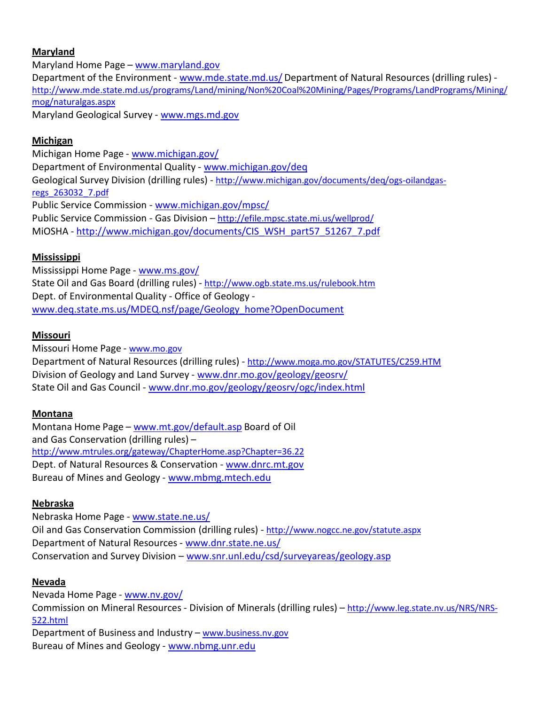### **Maryland**

Maryland Home Page – [www.maryland.gov](http://www.maryland.gov/) Department of the Environment - [www.mde.state.md.us/](http://www.mde.state.md.us/) Department of Natural Resources (drilling rules) [http://www.mde.state.md.us/programs/Land/mining/Non%20Coal%20Mining/Pages/Programs/LandPrograms/Mining/](http://www.mde.state.md.us/programs/Land/mining/Non%20Coal%20Mining/Pages/Programs/LandPrograms/Mining/mog/naturalgas.aspx) [mog/naturalgas.aspx](http://www.mde.state.md.us/programs/Land/mining/Non%20Coal%20Mining/Pages/Programs/LandPrograms/Mining/mog/naturalgas.aspx) Maryland Geological Survey - [www.mgs.md.gov](http://www.mgs.md.gov/)

### **Michigan**

Michigan Home Page - [www.michigan.gov/](http://www.michigan.gov/) Department of Environmental Quality - [www.michigan.gov/deq](http://www.michigan.gov/deq) Geological Survey Division (drilling rules) - [http://www.michigan.gov/documents/deq/ogs-oilandgas](http://www.michigan.gov/documents/deq/ogs-oilandgas-regs_263032_7.pdf)[regs\\_263032\\_7.pdf](http://www.michigan.gov/documents/deq/ogs-oilandgas-regs_263032_7.pdf) Public Service Commission - [www.michigan.gov/mpsc/](http://www.michigan.gov/mpsc/) Public Service Commission - Gas Division – <http://efile.mpsc.state.mi.us/wellprod/> MiOSHA - [http://www.michigan.gov/documents/CIS\\_WSH\\_part57\\_51267\\_7.pdf](http://www.michigan.gov/documents/CIS_WSH_part57_51267_7.pdf)

## **Mississippi**

Mississippi Home Page - [www.ms.gov/](http://www.ms.gov/) State Oil and Gas Board (drilling rules) - <http://www.ogb.state.ms.us/rulebook.htm> Dept. of Environmental Quality - Office of Geology [www.deq.state.ms.us/MDEQ.nsf/page/Geology\\_home?OpenDocument](http://www.deq.state.ms.us/MDEQ.nsf/page/Geology_home?OpenDocument)

### **Missouri**

Missouri Home Page - [www.mo.gov](http://www.mo.gov/) Department of Natural Resources (drilling rules) - <http://www.moga.mo.gov/STATUTES/C259.HTM> Division of Geology and Land Survey - [www.dnr.mo.gov/geology/geosrv/](http://www.dnr.mo.gov/geology/geosrv/) State Oil and Gas Council - [www.dnr.mo.gov/geology/geosrv/ogc/index.html](http://www.dnr.mo.gov/geology/geosrv/ogc/index.html)

## **Montana**

Montana Home Page – [www.mt.gov/default.asp](http://www.mt.gov/default.asp) Board of Oil and Gas Conservation (drilling rules) – <http://www.mtrules.org/gateway/ChapterHome.asp?Chapter=36.22> Dept. of Natural Resources & Conservation - [www.dnrc.mt.gov](http://www.dnrc.mt.gov/) Bureau of Mines and Geology - [www.mbmg.mtech.edu](http://www.mbmg.mtech.edu/)

### **Nebraska**

Nebraska Home Page - [www.state.ne.us/](http://www.state.ne.us/) Oil and Gas Conservation Commission (drilling rules) - <http://www.nogcc.ne.gov/statute.aspx> Department of Natural Resources - [www.dnr.state.ne.us/](http://www.dnr.state.ne.us/) Conservation and Survey Division – [www.snr.unl.edu/csd/surveyareas/geology.asp](http://www.snr.unl.edu/csd/surveyareas/geology.asp)

### **Nevada**

Nevada Home Page - [www.nv.gov/](http://www.nv.gov/) Commission on Mineral Resources - Division of Minerals (drilling rules) – [http://www.leg.state.nv.us/NRS/NRS-](http://www.leg.state.nv.us/NRS/NRS-522.html)[522.html](http://www.leg.state.nv.us/NRS/NRS-522.html) Department of Business and Industry – [www.business.nv.gov](http://www.business.nv.gov/) Bureau of Mines and Geology - [www.nbmg.unr.edu](http://www.nbmg.unr.edu/)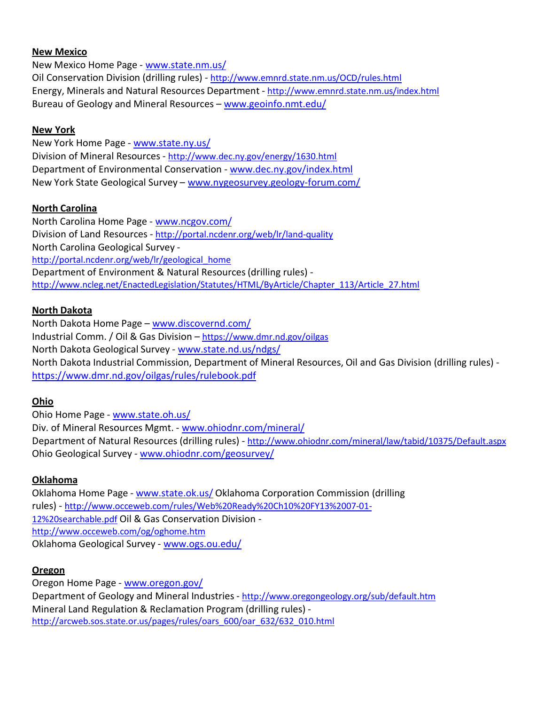#### **New Mexico**

New Mexico Home Page - [www.state.nm.us/](http://www.state.nm.us/) Oil Conservation Division (drilling rules) - <http://www.emnrd.state.nm.us/OCD/rules.html> Energy, Minerals and Natural Resources Department - <http://www.emnrd.state.nm.us/index.html> Bureau of Geology and Mineral Resources – [www.geoinfo.nmt.edu/](http://www.geoinfo.nmt.edu/)

#### **New York**

New York Home Page - [www.state.ny.us/](http://www.state.ny.us/) Division of Mineral Resources - <http://www.dec.ny.gov/energy/1630.html> Department of Environmental Conservation - [www.dec.ny.gov/index.html](http://www.dec.ny.gov/index.html) New York State Geological Survey – [www.nygeosurvey.geology-forum.com/](http://www.nygeosurvey.geology-forum.com/)

### **North Carolina**

North Carolina Home Page - [www.ncgov.com/](http://www.ncgov.com/) Division of Land Resources - <http://portal.ncdenr.org/web/lr/land-quality> North Carolina Geological Survey [http://portal.ncdenr.org/web/lr/geological\\_home](http://portal.ncdenr.org/web/lr/geological_home) Department of Environment & Natural Resources(drilling rules) [http://www.ncleg.net/EnactedLegislation/Statutes/HTML/ByArticle/Chapter\\_113/Article\\_27.html](http://www.ncleg.net/EnactedLegislation/Statutes/HTML/ByArticle/Chapter_113/Article_27.html)

### **North Dakota**

North Dakota Home Page - [www.discovernd.com/](http://www.discovernd.com/) Industrial Comm. / Oil & Gas Division – <https://www.dmr.nd.gov/oilgas> North Dakota Geological Survey - [www.state.nd.us/ndgs/](http://www.state.nd.us/ndgs/) North Dakota Industrial Commission, Department of Mineral Resources, Oil and Gas Division (drilling rules) <https://www.dmr.nd.gov/oilgas/rules/rulebook.pdf>

### **Ohio**

Ohio Home Page - [www.state.oh.us/](http://www.state.oh.us/) Div. of Mineral Resources Mgmt. - [www.ohiodnr.com/mineral/](http://www.ohiodnr.com/mineral/) Department of Natural Resources (drilling rules) - <http://www.ohiodnr.com/mineral/law/tabid/10375/Default.aspx> Ohio Geological Survey - [www.ohiodnr.com/geosurvey/](http://www.ohiodnr.com/geosurvey/)

### **Oklahoma**

Oklahoma Home Page - [www.state.ok.us/](http://www.state.ok.us/) Oklahoma Corporation Commission (drilling rules) - [http://www.occeweb.com/rules/Web%20Ready%20Ch10%20FY13%2007-01-](http://www.occeweb.com/rules/Web%20Ready%20Ch10%20FY13%2007-01-12%20searchable.pdf) [12%20searchable.pdf](http://www.occeweb.com/rules/Web%20Ready%20Ch10%20FY13%2007-01-12%20searchable.pdf) Oil & Gas Conservation Division <http://www.occeweb.com/og/oghome.htm> Oklahoma Geological Survey - [www.ogs.ou.edu/](http://www.ogs.ou.edu/)

### **Oregon**

Oregon Home Page - [www.oregon.gov/](http://www.oregon.gov/) Department of Geology and Mineral Industries - <http://www.oregongeology.org/sub/default.htm> Mineral Land Regulation & Reclamation Program (drilling rules) [http://arcweb.sos.state.or.us/pages/rules/oars\\_600/oar\\_632/632\\_010.html](http://arcweb.sos.state.or.us/pages/rules/oars_600/oar_632/632_010.html)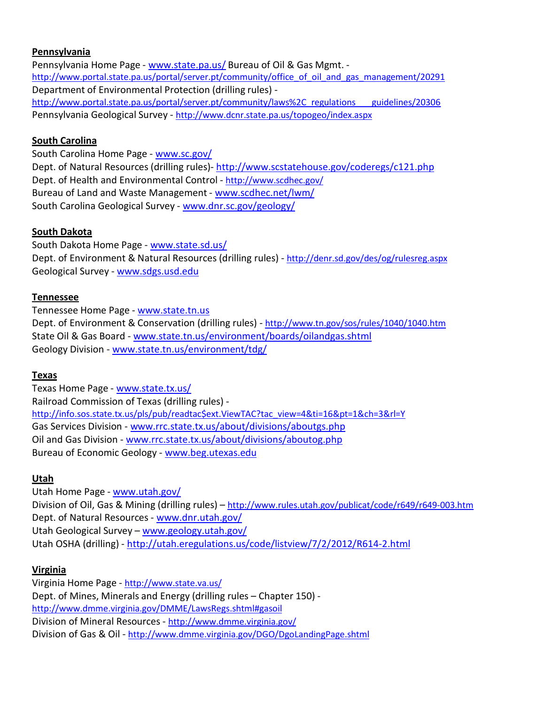#### **Pennsylvania**

Pennsylvania Home Page - [www.state.pa.us/](http://www.state.pa.us/) Bureau of Oil & Gas Mgmt. [http://www.portal.state.pa.us/portal/server.pt/community/office\\_of\\_oil\\_and\\_gas\\_management/20291](http://www.portal.state.pa.us/portal/server.pt/community/office_of_oil_and_gas_management/20291) Department of Environmental Protection (drilling rules) [http://www.portal.state.pa.us/portal/server.pt/community/laws%2C\\_regulations](http://www.portal.state.pa.us/portal/server.pt/community/laws%2C_regulations___guidelines/20306) [guidelines/20306](http://www.portal.state.pa.us/portal/server.pt/community/laws%2C_regulations___guidelines/20306) Pennsylvania Geological Survey - <http://www.dcnr.state.pa.us/topogeo/index.aspx>

#### **South Carolina**

South Carolina Home Page - [www.sc.gov/](http://www.sc.gov/) Dept. of Natural Resources (drilling rules)- <http://www.scstatehouse.gov/coderegs/c121.php> Dept. of Health and Environmental Control - <http://www.scdhec.gov/> Bureau of Land and Waste Management - [www.scdhec.net/lwm/](http://www.scdhec.net/lwm/) South Carolina Geological Survey - [www.dnr.sc.gov/geology/](http://www.dnr.sc.gov/geology/)

### **South Dakota**

South Dakota Home Page - [www.state.sd.us/](http://www.state.sd.us/) Dept. of Environment & Natural Resources (drilling rules) - <http://denr.sd.gov/des/og/rulesreg.aspx> Geological Survey - [www.sdgs.usd.edu](http://www.sdgs.usd.edu/)

#### **Tennessee**

Tennessee Home Page - [www.state.tn.us](http://www.state.tn.us/) Dept. of Environment & Conservation (drilling rules) - <http://www.tn.gov/sos/rules/1040/1040.htm> State Oil & Gas Board - [www.state.tn.us/environment/boards/oilandgas.shtml](http://www.state.tn.us/environment/boards/oilandgas.shtml) Geology Division - [www.state.tn.us/environment/tdg/](http://www.state.tn.us/environment/tdg/)

#### **Texas**

Texas Home Page - [www.state.tx.us/](http://www.state.tx.us/) Railroad Commission of Texas (drilling rules) [http://info.sos.state.tx.us/pls/pub/readtac\\$ext.ViewTAC?tac\\_view=4&ti=16&pt=1&ch=3&rl=Y](http://info.sos.state.tx.us/pls/pub/readtac%24ext.ViewTAC?tac_view=4&ti=16&pt=1&ch=3&rl=Y) Gas Services Division - [www.rrc.state.tx.us/about/divisions/aboutgs.php](http://www.rrc.state.tx.us/about/divisions/aboutgs.php) Oil and Gas Division - [www.rrc.state.tx.us/about/divisions/aboutog.php](http://www.rrc.state.tx.us/about/divisions/aboutog.php) Bureau of Economic Geology - [www.beg.utexas.edu](http://www.beg.utexas.edu/)

#### **Utah**

Utah Home Page - [www.utah.gov/](http://www.utah.gov/) Division of Oil, Gas & Mining (drilling rules) – <http://www.rules.utah.gov/publicat/code/r649/r649-003.htm> Dept. of Natural Resources - [www.dnr.utah.gov/](http://www.dnr.utah.gov/) Utah Geological Survey – [www.geology.utah.gov/](http://www.geology.utah.gov/) Utah OSHA (drilling) - <http://utah.eregulations.us/code/listview/7/2/2012/R614-2.html>

### **Virginia**

Virginia Home Page - <http://www.state.va.us/> Dept. of Mines, Minerals and Energy (drilling rules – Chapter 150) <http://www.dmme.virginia.gov/DMME/LawsRegs.shtml#gasoil> Division of Mineral Resources - <http://www.dmme.virginia.gov/> Division of Gas & Oil - <http://www.dmme.virginia.gov/DGO/DgoLandingPage.shtml>